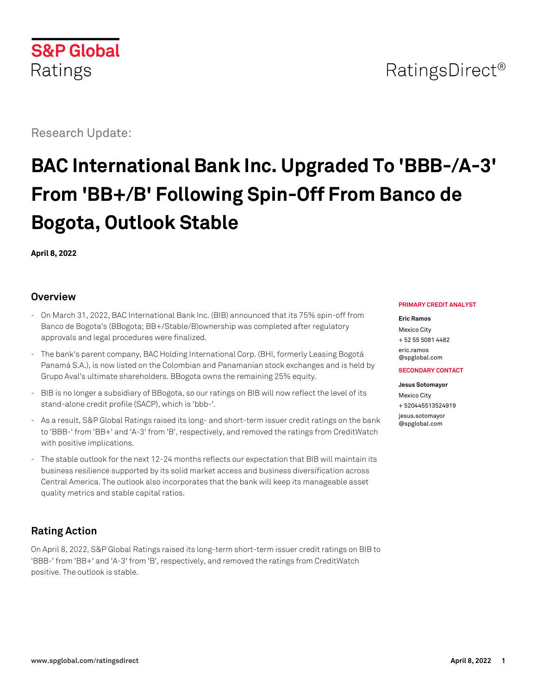

Research Update:

# **BAC International Bank Inc. Upgraded To 'BBB-/A-3' From 'BB+/B' Following Spin-Off From Banco de Bogota, Outlook Stable**

**April 8, 2022**

## **Overview**

- On March 31, 2022, BAC International Bank Inc. (BIB) announced that its 75% spin-off from Banco de Bogota's (BBogota; BB+/Stable/B)ownership was completed after regulatory approvals and legal procedures were finalized.
- The bank's parent company, BAC Holding International Corp. (BHI, formerly Leasing Bogotá Panamá S.A.), is now listed on the Colombian and Panamanian stock exchanges and is held by Grupo Aval's ultimate shareholders. BBogota owns the remaining 25% equity.
- BIB is no longer a subsidiary of BBogota, so our ratings on BIB will now reflect the level of its stand-alone credit profile (SACP), which is 'bbb-'.
- As a result, S&P Global Ratings raised its long- and short-term issuer credit ratings on the bank to 'BBB-' from 'BB+' and 'A-3' from 'B', respectively, and removed the ratings from CreditWatch with positive implications.
- The stable outlook for the next 12-24 months reflects our expectation that BIB will maintain its business resilience supported by its solid market access and business diversification across Central America. The outlook also incorporates that the bank will keep its manageable asset quality metrics and stable capital ratios.

## **Rating Action**

On April 8, 2022, S&P Global Ratings raised its long-term short-term issuer credit ratings on BIB to 'BBB-' from 'BB+' and 'A-3' from 'B', respectively, and removed the ratings from CreditWatch positive. The outlook is stable.

#### **PRIMARY CREDIT ANALYST**

#### **Eric Ramos** Mexico City

+ 52 55 5081 4482 [eric.ramos](mailto:eric.ramos@spglobal.com) [@spglobal.com](mailto:eric.ramos@spglobal.com)

#### **SECONDARY CONTACT**

**Jesus Sotomayor** Mexico City + 520445513524919 [jesus.sotomayor](mailto:jesus.sotomayor@spglobal.com)

[@spglobal.com](mailto:jesus.sotomayor@spglobal.com)

**www.spglobal.com/ratingsdirect April 8, 2022 1**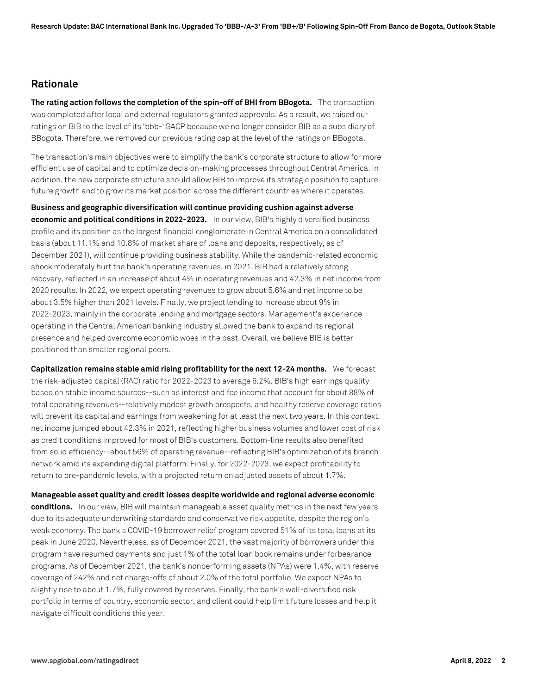### **Rationale**

**The rating action follows the completion of the spin-off of BHI from BBogota.** The transaction was completed after local and external regulators granted approvals. As a result, we raised our ratings on BIB to the level of its 'bbb-' SACP because we no longer consider BIB as a subsidiary of BBogota. Therefore, we removed our previous rating cap at the level of the ratings on BBogota.

The transaction's main objectives were to simplify the bank's corporate structure to allow for more efficient use of capital and to optimize decision-making processes throughout Central America. In addition, the new corporate structure should allow BIB to improve its strategic position to capture future growth and to grow its market position across the different countries where it operates.

**Business and geographic diversification will continue providing cushion against adverse economic and political conditions in 2022-2023.** In our view, BIB's highly diversified business profile and its position as the largest financial conglomerate in Central America on a consolidated basis (about 11.1% and 10.8% of market share of loans and deposits, respectively, as of December 2021), will continue providing business stability. While the pandemic-related economic shock moderately hurt the bank's operating revenues, in 2021, BIB had a relatively strong recovery, reflected in an increase of about 4% in operating revenues and 42.3% in net income from 2020 results. In 2022, we expect operating revenues to grow about 5.6% and net income to be about 3.5% higher than 2021 levels. Finally, we project lending to increase about 9% in 2022-2023, mainly in the corporate lending and mortgage sectors. Management's experience operating in the Central American banking industry allowed the bank to expand its regional presence and helped overcome economic woes in the past. Overall, we believe BIB is better positioned than smaller regional peers.

**Capitalization remains stable amid rising profitability for the next 12-24 months.** We forecast the risk-adjusted capital (RAC) ratio for 2022-2023 to average 6.2%. BIB's high earnings quality based on stable income sources--such as interest and fee income that account for about 88% of total operating revenues--relatively modest growth prospects, and healthy reserve coverage ratios will prevent its capital and earnings from weakening for at least the next two years. In this context, net income jumped about 42.3% in 2021, reflecting higher business volumes and lower cost of risk as credit conditions improved for most of BIB's customers. Bottom-line results also benefited from solid efficiency--about 56% of operating revenue--reflecting BIB's optimization of its branch network amid its expanding digital platform. Finally, for 2022-2023, we expect profitability to return to pre-pandemic levels, with a projected return on adjusted assets of about 1.7%.

**Manageable asset quality and credit losses despite worldwide and regional adverse economic conditions.** In our view, BIB will maintain manageable asset quality metrics in the next few years due to its adequate underwriting standards and conservative risk appetite, despite the region's weak economy. The bank's COVID-19 borrower relief program covered 51% of its total loans at its peak in June 2020. Nevertheless, as of December 2021, the vast majority of borrowers under this program have resumed payments and just 1% of the total loan book remains under forbearance programs. As of December 2021, the bank's nonperforming assets (NPAs) were 1.4%, with reserve coverage of 242% and net charge-offs of about 2.0% of the total portfolio. We expect NPAs to slightly rise to about 1.7%, fully covered by reserves. Finally, the bank's well-diversified risk portfolio in terms of country, economic sector, and client could help limit future losses and help it navigate difficult conditions this year.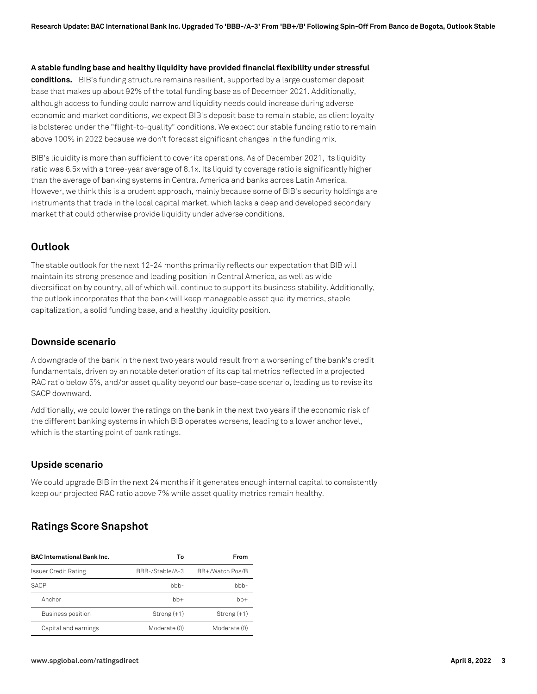#### **A stable funding base and healthy liquidity have provided financial flexibility under stressful**

**conditions.** BIB's funding structure remains resilient, supported by a large customer deposit base that makes up about 92% of the total funding base as of December 2021. Additionally, although access to funding could narrow and liquidity needs could increase during adverse economic and market conditions, we expect BIB's deposit base to remain stable, as client loyalty is bolstered under the "flight-to-quality" conditions. We expect our stable funding ratio to remain above 100% in 2022 because we don't forecast significant changes in the funding mix.

BIB's liquidity is more than sufficient to cover its operations. As of December 2021, its liquidity ratio was 6.5x with a three-year average of 8.1x. Its liquidity coverage ratio is significantly higher than the average of banking systems in Central America and banks across Latin America. However, we think this is a prudent approach, mainly because some of BIB's security holdings are instruments that trade in the local capital market, which lacks a deep and developed secondary market that could otherwise provide liquidity under adverse conditions.

## **Outlook**

The stable outlook for the next 12-24 months primarily reflects our expectation that BIB will maintain its strong presence and leading position in Central America, as well as wide diversification by country, all of which will continue to support its business stability. Additionally, the outlook incorporates that the bank will keep manageable asset quality metrics, stable capitalization, a solid funding base, and a healthy liquidity position.

### **Downside scenario**

A downgrade of the bank in the next two years would result from a worsening of the bank's credit fundamentals, driven by an notable deterioration of its capital metrics reflected in a projected RAC ratio below 5%, and/or asset quality beyond our base-case scenario, leading us to revise its SACP downward.

Additionally, we could lower the ratings on the bank in the next two years if the economic risk of the different banking systems in which BIB operates worsens, leading to a lower anchor level, which is the starting point of bank ratings.

#### **Upside scenario**

We could upgrade BIB in the next 24 months if it generates enough internal capital to consistently keep our projected RAC ratio above 7% while asset quality metrics remain healthy.

## **Ratings Score Snapshot**

| <b>BAC International Bank Inc.</b> | Т٥                   | <b>From</b>     |
|------------------------------------|----------------------|-----------------|
| <b>Issuer Credit Rating</b>        | BBB-/Stable/A-3      | BB+/Watch Pos/B |
| <b>SACP</b>                        | $b$ <sub>b</sub> $-$ | $bbb-$          |
| Anchor                             | $bb+$                | $hh+$           |
| <b>Business position</b>           | $Strong(+1)$         | $Strong(+1)$    |
| Capital and earnings               | Moderate (0)         | Moderate (0)    |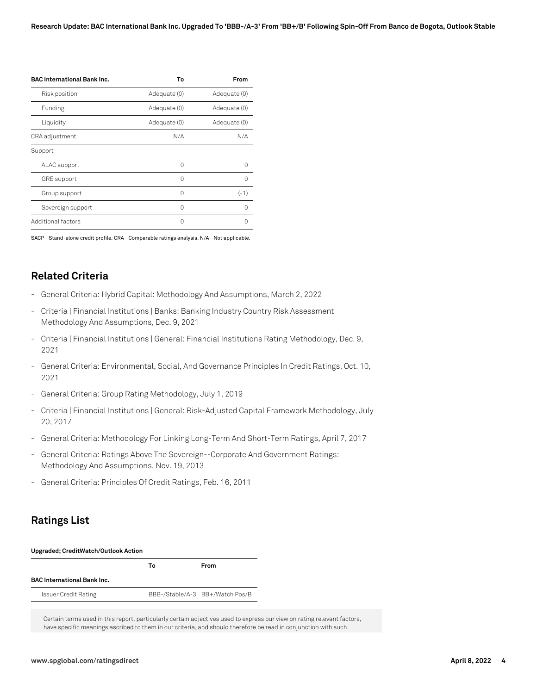| <b>BAC International Bank Inc.</b> | To           | From         |
|------------------------------------|--------------|--------------|
| Risk position                      | Adequate (0) | Adequate (0) |
| Funding                            | Adequate (0) | Adequate (0) |
| Liquidity                          | Adequate (0) | Adequate (0) |
| CRA adjustment                     | N/A          | N/A          |
| Support                            |              |              |
| ALAC support                       | Ω            | U            |
| <b>GRE</b> support                 | Ω            | U            |
| Group support                      | Λ            | $(-1)$       |
| Sovereign support                  | Λ            | 0            |
| Additional factors                 | C            | Ω            |
|                                    |              |              |

SACP--Stand-alone credit profile. CRA--Comparable ratings analysis. N/A--Not applicable.

## **Related Criteria**

- General Criteria: Hybrid Capital: Methodology And Assumptions, March 2, 2022
- Criteria | Financial Institutions | Banks: Banking Industry Country Risk Assessment Methodology And Assumptions, Dec. 9, 2021
- Criteria | Financial Institutions | General: Financial Institutions Rating Methodology, Dec. 9, 2021
- General Criteria: Environmental, Social, And Governance Principles In Credit Ratings, Oct. 10, 2021
- General Criteria: Group Rating Methodology, July 1, 2019
- Criteria | Financial Institutions | General: Risk-Adjusted Capital Framework Methodology, July 20, 2017
- General Criteria: Methodology For Linking Long-Term And Short-Term Ratings, April 7, 2017
- General Criteria: Ratings Above The Sovereign--Corporate And Government Ratings: Methodology And Assumptions, Nov. 19, 2013
- General Criteria: Principles Of Credit Ratings, Feb. 16, 2011

## **Ratings List**

| Upgraded; CreditWatch/Outlook Action |    |                                 |  |  |
|--------------------------------------|----|---------------------------------|--|--|
|                                      | Т٥ | From                            |  |  |
| <b>BAC International Bank Inc.</b>   |    |                                 |  |  |
| <b>Issuer Credit Rating</b>          |    | BBB-/Stable/A-3 BB+/Watch Pos/B |  |  |

Certain terms used in this report, particularly certain adjectives used to express our view on rating relevant factors, have specific meanings ascribed to them in our criteria, and should therefore be read in conjunction with such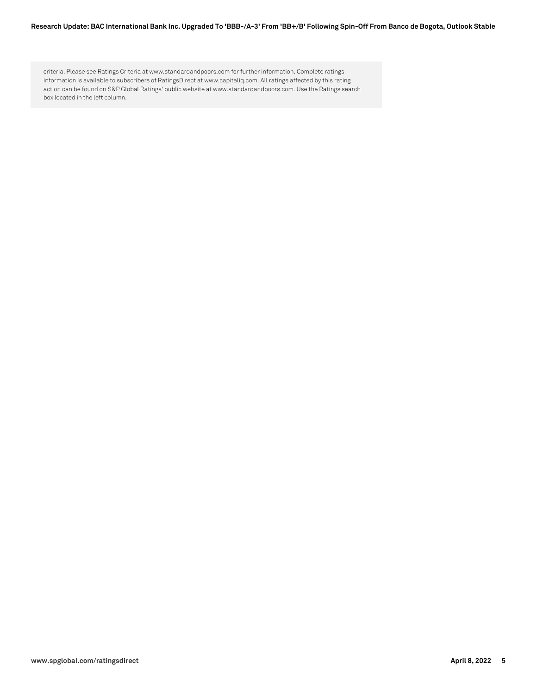#### **Research Update: BAC International Bank Inc. Upgraded To 'BBB-/A-3' From 'BB+/B' Following Spin-Off From Banco de Bogota, Outlook Stable**

criteria. Please see Ratings Criteria at www.standardandpoors.com for further information. Complete ratings information is available to subscribers of RatingsDirect at www.capitaliq.com. All ratings affected by this rating action can be found on S&P Global Ratings' public website at www.standardandpoors.com. Use the Ratings search box located in the left column.